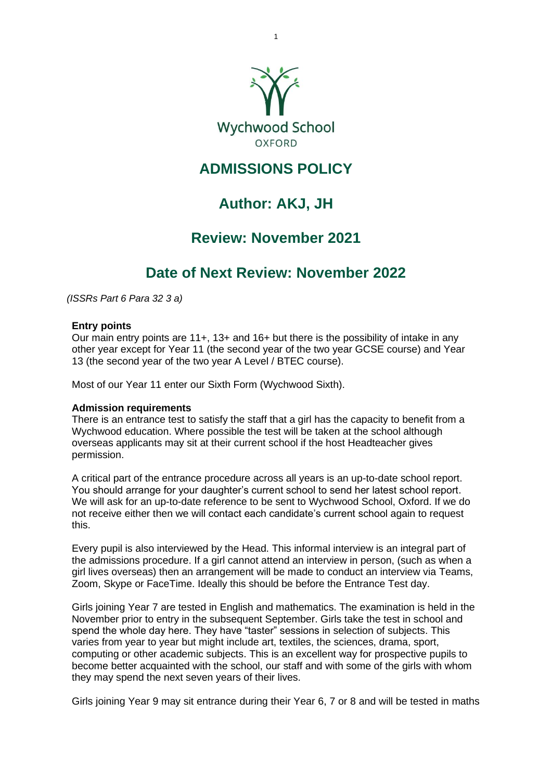

1

## **ADMISSIONS POLICY**

# **Author: AKJ, JH**

## **Review: November 2021**

## **Date of Next Review: November 2022**

*(ISSRs Part 6 Para 32 3 a)* 

## **Entry points**

Our main entry points are 11+, 13+ and 16+ but there is the possibility of intake in any other year except for Year 11 (the second year of the two year GCSE course) and Year 13 (the second year of the two year A Level / BTEC course).

Most of our Year 11 enter our Sixth Form (Wychwood Sixth).

## **Admission requirements**

There is an entrance test to satisfy the staff that a girl has the capacity to benefit from a Wychwood education. Where possible the test will be taken at the school although overseas applicants may sit at their current school if the host Headteacher gives permission.

A critical part of the entrance procedure across all years is an up-to-date school report. You should arrange for your daughter's current school to send her latest school report. We will ask for an up-to-date reference to be sent to Wychwood School, Oxford. If we do not receive either then we will contact each candidate's current school again to request this.

Every pupil is also interviewed by the Head. This informal interview is an integral part of the admissions procedure. If a girl cannot attend an interview in person, (such as when a girl lives overseas) then an arrangement will be made to conduct an interview via Teams, Zoom, Skype or FaceTime. Ideally this should be before the Entrance Test day.

Girls joining Year 7 are tested in English and mathematics. The examination is held in the November prior to entry in the subsequent September. Girls take the test in school and spend the whole day here. They have "taster" sessions in selection of subjects. This varies from year to year but might include art, textiles, the sciences, drama, sport, computing or other academic subjects. This is an excellent way for prospective pupils to become better acquainted with the school, our staff and with some of the girls with whom they may spend the next seven years of their lives.

Girls joining Year 9 may sit entrance during their Year 6, 7 or 8 and will be tested in maths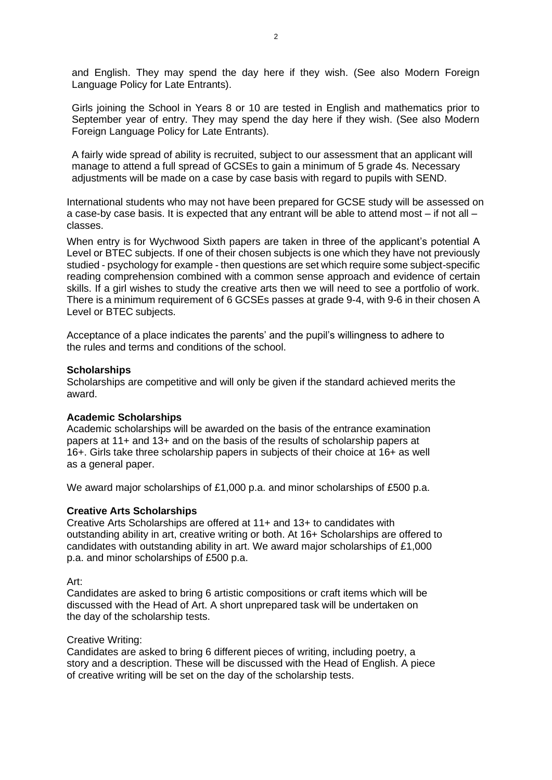and English. They may spend the day here if they wish. (See also Modern Foreign Language Policy for Late Entrants).

Girls joining the School in Years 8 or 10 are tested in English and mathematics prior to September year of entry. They may spend the day here if they wish. (See also Modern Foreign Language Policy for Late Entrants).

A fairly wide spread of ability is recruited, subject to our assessment that an applicant will manage to attend a full spread of GCSEs to gain a minimum of 5 grade 4s. Necessary adjustments will be made on a case by case basis with regard to pupils with SEND.

International students who may not have been prepared for GCSE study will be assessed on a case-by case basis. It is expected that any entrant will be able to attend most – if not all – classes.

When entry is for Wychwood Sixth papers are taken in three of the applicant's potential A Level or BTEC subjects. If one of their chosen subjects is one which they have not previously studied - psychology for example - then questions are set which require some subject-specific reading comprehension combined with a common sense approach and evidence of certain skills. If a girl wishes to study the creative arts then we will need to see a portfolio of work. There is a minimum requirement of 6 GCSEs passes at grade 9-4, with 9-6 in their chosen A Level or BTEC subjects.

Acceptance of a place indicates the parents' and the pupil's willingness to adhere to the rules and terms and conditions of the school.

## **Scholarships**

Scholarships are competitive and will only be given if the standard achieved merits the award.

## **Academic Scholarships**

Academic scholarships will be awarded on the basis of the entrance examination papers at 11+ and 13+ and on the basis of the results of scholarship papers at 16+. Girls take three scholarship papers in subjects of their choice at 16+ as well as a general paper.

We award major scholarships of £1,000 p.a. and minor scholarships of £500 p.a.

## **Creative Arts Scholarships**

Creative Arts Scholarships are offered at 11+ and 13+ to candidates with outstanding ability in art, creative writing or both. At 16+ Scholarships are offered to candidates with outstanding ability in art. We award major scholarships of £1,000 p.a. and minor scholarships of £500 p.a.

## Art:

Candidates are asked to bring 6 artistic compositions or craft items which will be discussed with the Head of Art. A short unprepared task will be undertaken on the day of the scholarship tests.

## Creative Writing:

Candidates are asked to bring 6 different pieces of writing, including poetry, a story and a description. These will be discussed with the Head of English. A piece of creative writing will be set on the day of the scholarship tests.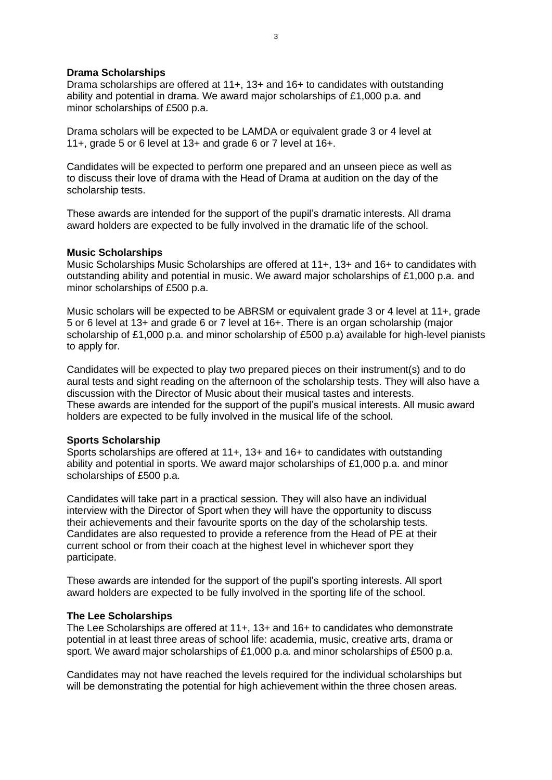#### **Drama Scholarships**

Drama scholarships are offered at 11+, 13+ and 16+ to candidates with outstanding ability and potential in drama. We award major scholarships of £1,000 p.a. and minor scholarships of £500 p.a.

Drama scholars will be expected to be LAMDA or equivalent grade 3 or 4 level at 11+, grade 5 or 6 level at 13+ and grade 6 or 7 level at 16+.

Candidates will be expected to perform one prepared and an unseen piece as well as to discuss their love of drama with the Head of Drama at audition on the day of the scholarship tests.

These awards are intended for the support of the pupil's dramatic interests. All drama award holders are expected to be fully involved in the dramatic life of the school.

#### **Music Scholarships**

Music Scholarships Music Scholarships are offered at 11+, 13+ and 16+ to candidates with outstanding ability and potential in music. We award major scholarships of £1,000 p.a. and minor scholarships of £500 p.a.

Music scholars will be expected to be ABRSM or equivalent grade 3 or 4 level at 11+, grade 5 or 6 level at 13+ and grade 6 or 7 level at 16+. There is an organ scholarship (major scholarship of £1,000 p.a. and minor scholarship of £500 p.a) available for high-level pianists to apply for.

Candidates will be expected to play two prepared pieces on their instrument(s) and to do aural tests and sight reading on the afternoon of the scholarship tests. They will also have a discussion with the Director of Music about their musical tastes and interests. These awards are intended for the support of the pupil's musical interests. All music award holders are expected to be fully involved in the musical life of the school.

## **Sports Scholarship**

Sports scholarships are offered at 11+, 13+ and 16+ to candidates with outstanding ability and potential in sports. We award major scholarships of £1,000 p.a. and minor scholarships of £500 p.a.

Candidates will take part in a practical session. They will also have an individual interview with the Director of Sport when they will have the opportunity to discuss their achievements and their favourite sports on the day of the scholarship tests. Candidates are also requested to provide a reference from the Head of PE at their current school or from their coach at the highest level in whichever sport they participate.

These awards are intended for the support of the pupil's sporting interests. All sport award holders are expected to be fully involved in the sporting life of the school.

#### **The Lee Scholarships**

The Lee Scholarships are offered at 11+, 13+ and 16+ to candidates who demonstrate potential in at least three areas of school life: academia, music, creative arts, drama or sport. We award major scholarships of £1,000 p.a. and minor scholarships of £500 p.a.

Candidates may not have reached the levels required for the individual scholarships but will be demonstrating the potential for high achievement within the three chosen areas.